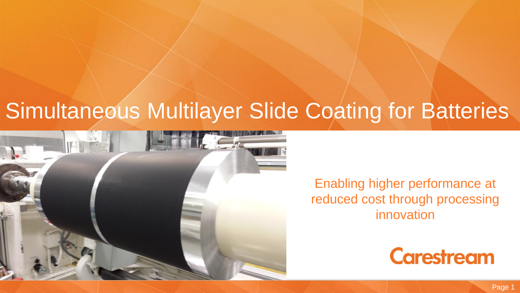## Simultaneous Multilayer Slide Coating for Batteries



Enabling higher performance at reduced cost through processing innovation

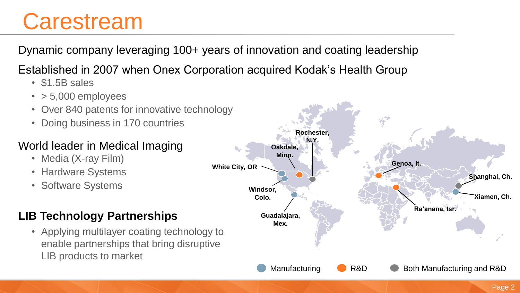## **Carestream**

Dynamic company leveraging 100+ years of innovation and coating leadership

Established in 2007 when Onex Corporation acquired Kodak's Health Group

- \$1.5B sales
- $\cdot$  > 5,000 employees
- Over 840 patents for innovative technology
- Doing business in 170 countries

### World leader in Medical Imaging

- Media (X-ray Film)
- Hardware Systems
- Software Systems

## **LIB Technology Partnerships**

• Applying multilayer coating technology to enable partnerships that bring disruptive LIB products to market

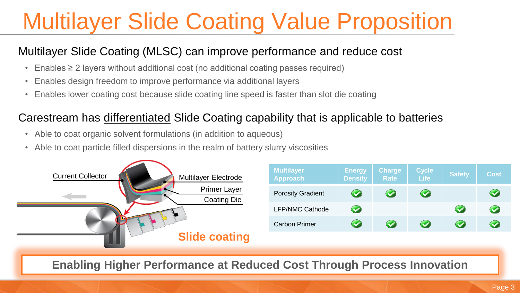# Multilayer Slide Coating Value Proposition

### Multilayer Slide Coating (MLSC) can improve performance and reduce cost

- Enables ≥ 2 layers without additional cost (no additional coating passes required)
- Enables design freedom to improve performance via additional layers
- Enables lower coating cost because slide coating line speed is faster than slot die coating

### Carestream has differentiated Slide Coating capability that is applicable to batteries

- Able to coat organic solvent formulations (in addition to aqueous)
- Able to coat particle filled dispersions in the realm of battery slurry viscosities



**Enabling Higher Performance at Reduced Cost Through Process Innovation**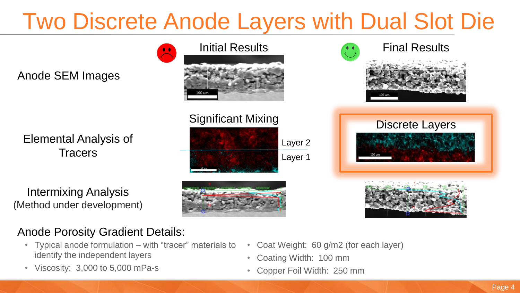# Two Discrete Anode Layers with Dual Slot Die

Anode SEM Images

Elemental Analysis of **Tracers** 

Intermixing Analysis (Method under development)









### Anode Porosity Gradient Details:

- Typical anode formulation with "tracer" materials to identify the independent layers
- Viscosity: 3,000 to 5,000 mPa-s
- Coat Weight: 60 g/m2 (for each layer)
- Coating Width: 100 mm
- Copper Foil Width: 250 mm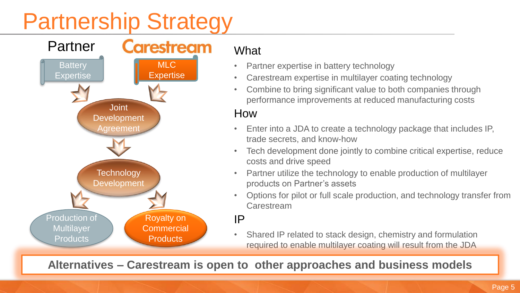## Partnership Strategy



#### **What**

- Partner expertise in battery technology
- Carestream expertise in multilayer coating technology
- Combine to bring significant value to both companies through performance improvements at reduced manufacturing costs

### How

- Enter into a JDA to create a technology package that includes IP, trade secrets, and know-how
- Tech development done jointly to combine critical expertise, reduce costs and drive speed
- Partner utilize the technology to enable production of multilayer products on Partner's assets
- Options for pilot or full scale production, and technology transfer from Carestream

#### IP

• Shared IP related to stack design, chemistry and formulation required to enable multilayer coating will result from the JDA

**Alternatives – Carestream is open to other approaches and business models**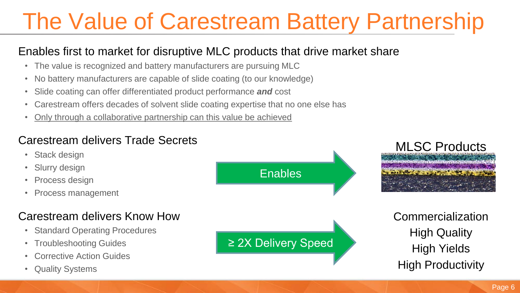# The Value of Carestream Battery Partnership

### Enables first to market for disruptive MLC products that drive market share

- The value is recognized and battery manufacturers are pursuing MLC
- No battery manufacturers are capable of slide coating (to our knowledge)
- Slide coating can offer differentiated product performance *and* cost
- Carestream offers decades of solvent slide coating expertise that no one else has
- Only through a collaborative partnership can this value be achieved

### Carestream delivers Trade Secrets

- Stack design
- Slurry design
- Process design
- Process management

### Carestream delivers Know How

- Standard Operating Procedures
- Troubleshooting Guides
- Corrective Action Guides
- Quality Systems